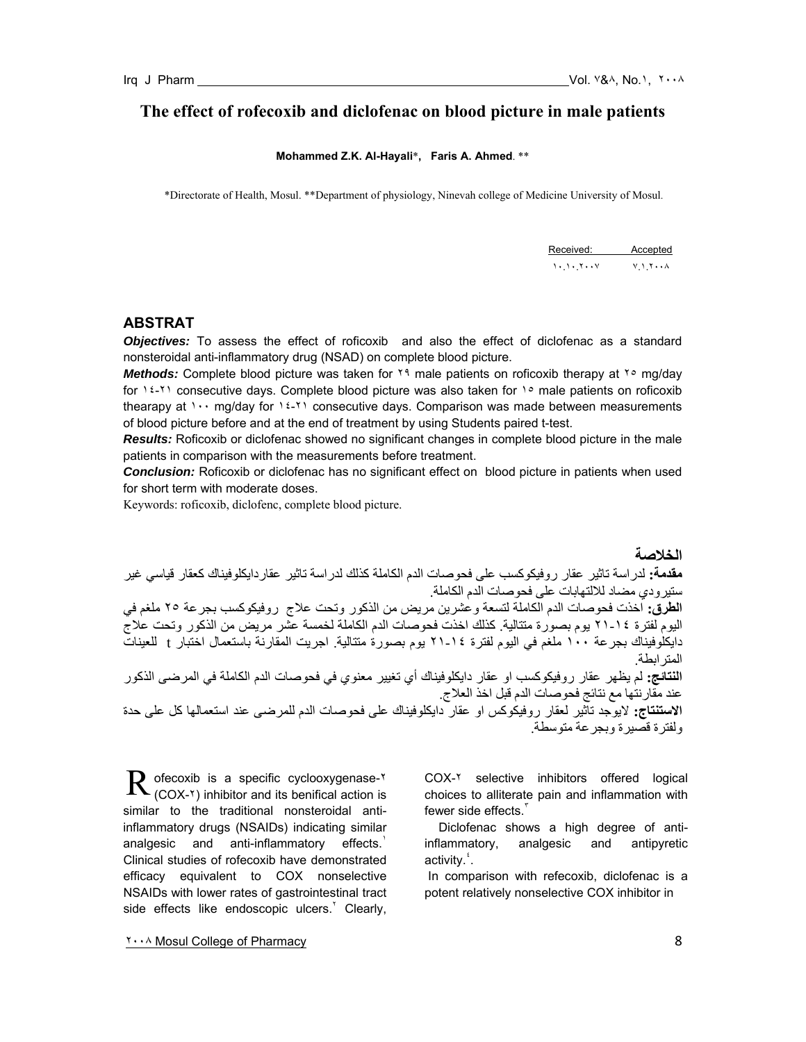# **The effect of rofecoxib and diclofenac on blood picture in male patients**

#### **Mohammed Z.K. Al-Hayali**\***, Faris A. Ahmed**. \*\*

\*Directorate of Health, Mosul. \*\*Department of physiology, Ninevah college of Medicine University of Mosul.

| Received: Accepted                                                                                                                                                                                                                                                                                                                                              |  |
|-----------------------------------------------------------------------------------------------------------------------------------------------------------------------------------------------------------------------------------------------------------------------------------------------------------------------------------------------------------------|--|
| $\mathcal{N}$ , $\mathcal{N}$ , $\mathcal{N}$ , $\mathcal{N}$ , $\mathcal{N}$ , $\mathcal{N}$ , $\mathcal{N}$ , $\mathcal{N}$ , $\mathcal{N}$ , $\mathcal{N}$ , $\mathcal{N}$ , $\mathcal{N}$ , $\mathcal{N}$ , $\mathcal{N}$ , $\mathcal{N}$ , $\mathcal{N}$ , $\mathcal{N}$ , $\mathcal{N}$ , $\mathcal{N}$ , $\mathcal{N}$ , $\mathcal{N}$ , $\mathcal{N}$ , |  |

## **ABSTRAT**

*Objectives:* To assess the effect of roficoxib and also the effect of diclofenac as a standard nonsteroidal anti-inflammatory drug (NSAD) on complete blood picture.

*Methods:* Complete blood picture was taken for ٢٩ male patients on roficoxib therapy at ٢٥ mg/day for  $12-71$  consecutive days. Complete blood picture was also taken for  $1°$  male patients on roficoxib thearapy at  $\cdots$  mg/day for  $16-7$  consecutive days. Comparison was made between measurements of blood picture before and at the end of treatment by using Students paired t-test.

*Results:* Roficoxib or diclofenac showed no significant changes in complete blood picture in the male patients in comparison with the measurements before treatment.

*Conclusion:* Roficoxib or diclofenac has no significant effect on blood picture in patients when used for short term with moderate doses.

Keywords: roficoxib, diclofenc, complete blood picture.

**الخلاصة مقدمة:** لدراسة تاثير عقار روفيكوكسب على فحوصات الدم الكاملة كذلك لدراسة تاثير عقاردايكلوفيناك كعقار قياسي غير ستيرودي مضاد للالتهابات على فحوصات الدم الكاملة. **الطرق:** اخذت فحوصات الدم الكاملة لتسعة وعشرين مريض من الذآور وتحت علاج روفيكوآسب بجرعة ٢٥ ملغم في اليوم لفترة ٢١-١٤ يوم بصورة متتالية. آذلك اخذت فحوصات الدم الكاملة لخمسة عشر مريض من الذآور وتحت علاج دايكلوفيناك بجرعة ١٠٠ ملغم في اليوم لفترة ٢١-١٤ يوم بصورة متتالية. اجريت المقارنة باستعمال اختبار t للعينات المترابطة. ا**لنتائج:** لم يظهر عقار روفيكوكسب او عقار دايكلوفيناك أي تغيير معنوي في فحوصات الدم الكاملة في المرضى الذكور عند مقارنتها مع نتائج فحوصات الدم قبل اخذ العلاج. **الاستنتاج:** لايوجد تاثير لعقار روفيكوآس او عقار دايكلوفيناك على فحوصات الدم للمرضى عند استعمالها آل على حدة ولفترة قصيرة وبجرعة متوسطة.

ofecoxib is a specific cyclooxygenase-٢  $R$  ofecoxib is a specific cyclooxygenase- $\kappa$  (COX- $\kappa$ ) inhibitor and its benifical action is similar to the traditional nonsteroidal antiinflammatory drugs (NSAIDs) indicating similar analgesic and anti-inflammatory effects. Clinical studies of rofecoxib have demonstrated efficacy equivalent to COX nonselective NSAIDs with lower rates of gastrointestinal tract side effects like endoscopic ulcers. $^{\prime}$  Clearly,

COX-٢ selective inhibitors offered logical choices to alliterate pain and inflammation with fewer side effects.

 Diclofenac shows a high degree of antiinflammatory, analgesic and antipyretic activity.<sup>\*</sup>.

 In comparison with refecoxib, diclofenac is a potent relatively nonselective COX inhibitor in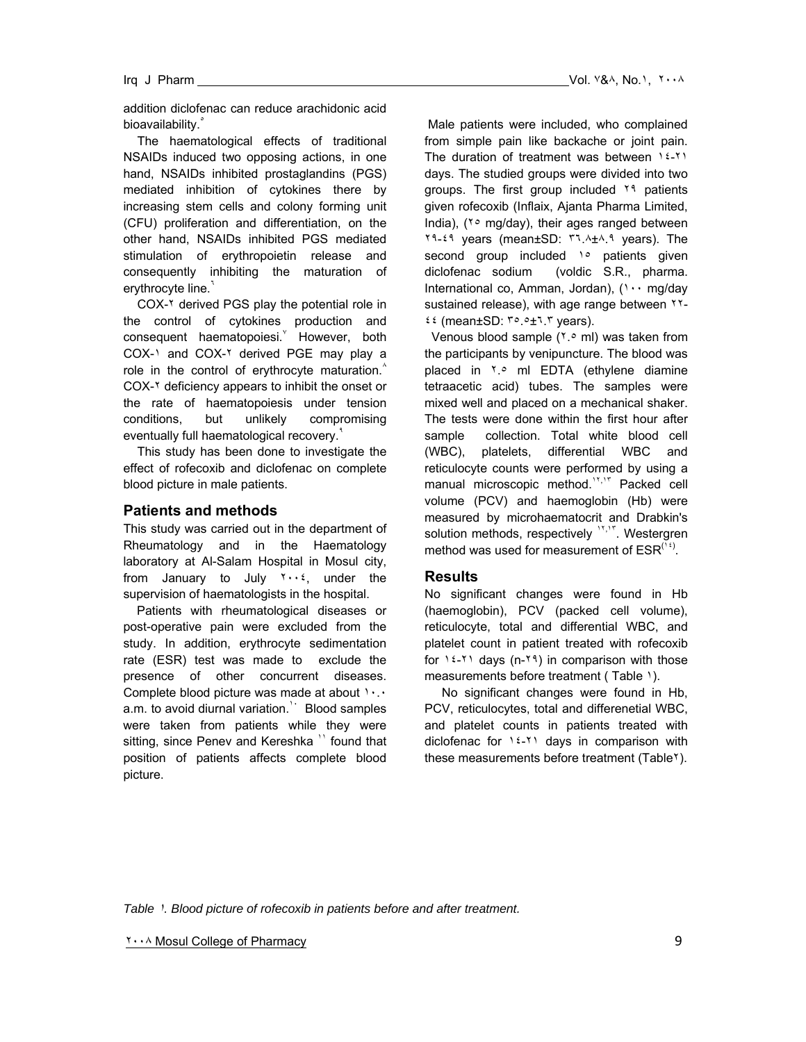addition diclofenac can reduce arachidonic acid bioavailability.

 The haematological effects of traditional NSAIDs induced two opposing actions, in one hand, NSAIDs inhibited prostaglandins (PGS) mediated inhibition of cytokines there by increasing stem cells and colony forming unit (CFU) proliferation and differentiation, on the other hand, NSAIDs inhibited PGS mediated stimulation of erythropoietin release and consequently inhibiting the maturation of erythrocyte line.<sup>1</sup>

 COX-٢ derived PGS play the potential role in the control of cytokines production and consequent haematopoiesi. However, both COX-١ and COX-٢ derived PGE may play a role in the control of erythrocyte maturation. $^{\wedge}$ COX-٢ deficiency appears to inhibit the onset or the rate of haematopoiesis under tension conditions, but unlikely compromising eventually full haematological recovery.<sup>4</sup>

 This study has been done to investigate the effect of rofecoxib and diclofenac on complete blood picture in male patients.

#### **Patients and methods**

This study was carried out in the department of Rheumatology and in the Haematology laboratory at Al-Salam Hospital in Mosul city, from January to July  $Y \cdot Y$ , under the supervision of haematologists in the hospital.

 Patients with rheumatological diseases or post-operative pain were excluded from the study. In addition, erythrocyte sedimentation rate (ESR) test was made to exclude the presence of other concurrent diseases. Complete blood picture was made at about ١٠.٠ a.m. to avoid diurnal variation.<sup>11</sup> Blood samples were taken from patients while they were sitting, since Penev and Kereshka<sup>"</sup> found that position of patients affects complete blood picture.

 Male patients were included, who complained from simple pain like backache or joint pain. The duration of treatment was between ١٤-٢١ days. The studied groups were divided into two groups. The first group included <sup>19</sup> patients given rofecoxib (Inflaix, Ajanta Pharma Limited, India), (<sup>1</sup>° mg/day), their ages ranged between ٢٩-٤٩ years (mean±SD: ٣٦.٨±٨.٩ years). The second group included 1° patients given diclofenac sodium (voldic S.R., pharma. International co, Amman, Jordan), (١٠٠ mg/day sustained release), with age range between ٢٢-٤٤ (mean±SD: ٣٥.٥±٦.٣ years).

Venous blood sample (٢.٠ ml) was taken from the participants by venipuncture. The blood was placed in ٢.٥ ml EDTA (ethylene diamine tetraacetic acid) tubes. The samples were mixed well and placed on a mechanical shaker. The tests were done within the first hour after sample collection. Total white blood cell (WBC), platelets, differential WBC and reticulocyte counts were performed by using a manual microscopic method.<sup>11,11</sup> Packed cell volume (PCV) and haemoglobin (Hb) were measured by microhaematocrit and Drabkin's solution methods, respectively <sup>17,17</sup>. Westergren method was used for measurement of  $\mathsf{ESR}^{(\mathsf{1}\mathsf{1})}$ .

#### **Results**

No significant changes were found in Hb (haemoglobin), PCV (packed cell volume), reticulocyte, total and differential WBC, and platelet count in patient treated with rofecoxib for  $12-11$  days (n-19) in comparison with those measurements before treatment (Table 1).

 No significant changes were found in Hb, PCV, reticulocytes, total and differenetial WBC, and platelet counts in patients treated with diclofenac for  $16-71$  days in comparison with these measurements before treatment (Table<sup>x</sup>).

*Table* ١*. Blood picture of rofecoxib in patients before and after treatment.* 

٢٠٠٨ Mosul College of Pharmacy 9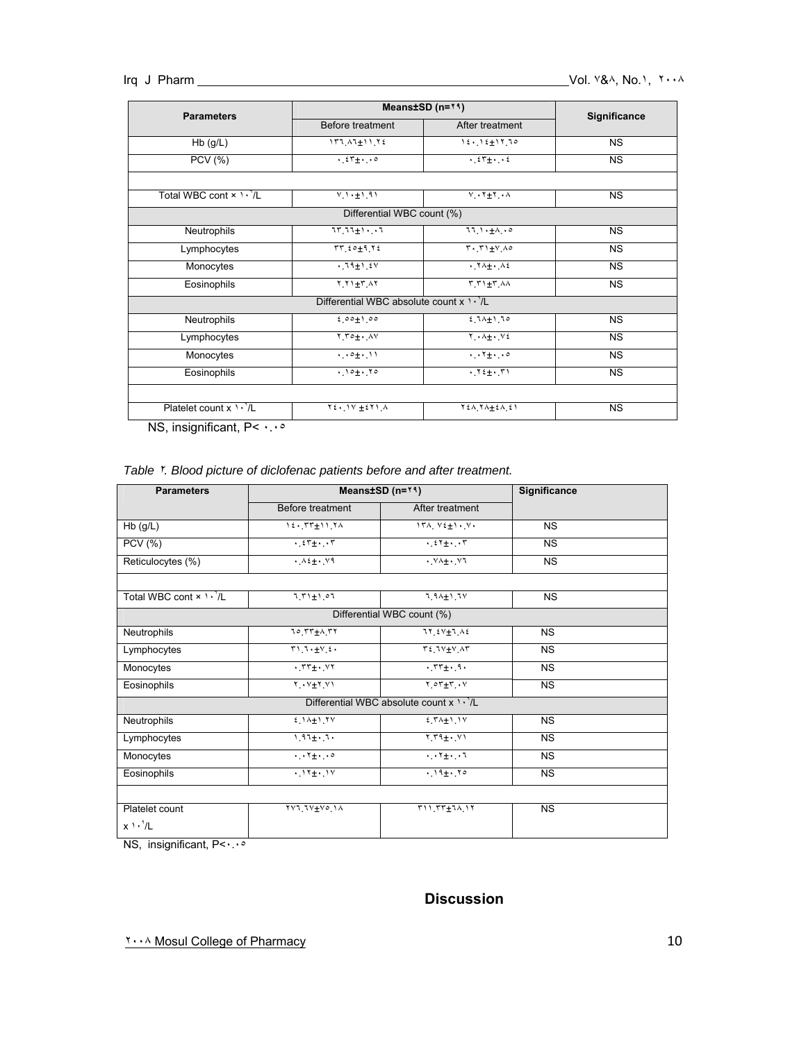| <b>Parameters</b>                         | Means $±SD$ (n= $14$ )                            |                                                           | Significance |  |
|-------------------------------------------|---------------------------------------------------|-----------------------------------------------------------|--------------|--|
|                                           | Before treatment                                  | After treatment                                           |              |  |
| $Hb$ (g/L)                                | $157.47 \pm 11.72$                                | $12.12 \pm 17.70$                                         | <b>NS</b>    |  |
| <b>PCV</b> (%)                            | $.57 + .00$                                       | $\cdot$ $25 + \cdot$ $\cdot$ $2$                          | <b>NS</b>    |  |
| Total WBC cont $\times$ $\cdot \cdot / L$ | $V_1 \rightarrow \pm 1.91$                        | $V \cdot Y \pm Y \cdot A$                                 | <b>NS</b>    |  |
|                                           | Differential WBC count (%)                        |                                                           |              |  |
| Neutrophils                               | $11.11 + 1.1$                                     | $11.1.1 + A.0$                                            | <b>NS</b>    |  |
| Lymphocytes                               | $TT$ $t \circ t$ $T$ $t$                          | $T \cdot T1 + V \wedge 0$                                 | <b>NS</b>    |  |
| Monocytes                                 | $.19 \pm 1.24$                                    | $\cdot$ $\uparrow \wedge \pm \cdot$ $\wedge \in$          | <b>NS</b>    |  |
| Eosinophils                               | $Y_1 Y_1 + Y_2 Y_3$                               | $T T + T A$                                               | <b>NS</b>    |  |
|                                           | Differential WBC absolute count $x \cdot \cdot L$ |                                                           |              |  |
| Neutrophils                               | $200 + 100$                                       | $2.74 + 1.70$                                             | <b>NS</b>    |  |
| Lymphocytes                               | $Y_1 \rightarrow + \cdot N$                       | $Y \cdot \lambda + \cdot V$                               | <b>NS</b>    |  |
| Monocytes                                 | (1.01)                                            | $\cdot \cdot \cdot + \cdot$                               | <b>NS</b>    |  |
| Eosinophils                               | $.10 + .70$                                       | $\cdot$ $Y_{\frac{t+1}{t}}$ , $Y_{\frac{t}{t}}$           | <b>NS</b>    |  |
|                                           |                                                   |                                                           |              |  |
| Platelet count $x \cdot \sqrt[n]{L}$      | $Y\xi \cdot 1V \pm \xi Y1$ .                      | $Y \nleq \Lambda, Y \Lambda \pm \Sigma \Lambda, \Sigma Y$ | <b>NS</b>    |  |

NS, insignificant, P< ٠.٠٥

## *Table* ٢*. Blood picture of diclofenac patients before and after treatment.*

| <b>Parameters</b>                                 | Means±SD (n=**)                                       |                                    | Significance |  |  |  |  |
|---------------------------------------------------|-------------------------------------------------------|------------------------------------|--------------|--|--|--|--|
|                                                   | Before treatment                                      | After treatment                    |              |  |  |  |  |
| $Hb$ (g/L)                                        | $12.577 \pm 11.74$                                    | $17A, V_{\pm} + V_{\pm}$           | <b>NS</b>    |  |  |  |  |
| <b>PCV</b> (%)                                    | $\cdot$ $\epsilon$ r <sub>±</sub> $\cdot$ , $\cdot$ r | $\cdot$ $25 + \cdot \cdot 5$       | <b>NS</b>    |  |  |  |  |
| Reticulocytes (%)                                 | $. \lambda \xi + . \nu \eta$                          | . VA± . V1                         | <b>NS</b>    |  |  |  |  |
|                                                   |                                                       |                                    |              |  |  |  |  |
| Total WBC cont x \ \ \'/L                         | $7.71 + 1.07$                                         | $1.94 + 1.79$                      | <b>NS</b>    |  |  |  |  |
| Differential WBC count (%)                        |                                                       |                                    |              |  |  |  |  |
| Neutrophils                                       | 10 TT+A TT                                            | $77.5V + 7.42$                     | <b>NS</b>    |  |  |  |  |
| Lymphocytes                                       | T1.7.4V.6.                                            | $T2.7V+V_1A T$                     | <b>NS</b>    |  |  |  |  |
| Monocytes                                         | $\cdot$ $rr_{\pm}$ $\cdot$ $rr$                       | $\cdot$ $rr_{\pm}$ $\cdot$ $\cdot$ | <b>NS</b>    |  |  |  |  |
| Eosinophils                                       | $Y \cdot Y + Y \cdot Y$                               | $Y \circ Y + Y \cdot V$            | <b>NS</b>    |  |  |  |  |
| Differential WBC absolute count $x \rightarrow Y$ |                                                       |                                    |              |  |  |  |  |
| Neutrophils                                       | $2.14 + 1.7V$                                         | $£$ $Y \wedge 1$ $Y$               | <b>NS</b>    |  |  |  |  |
| Lymphocytes                                       | $1.97 + .7.$                                          | $Y_1 + 1 + Y_2$                    | <b>NS</b>    |  |  |  |  |
| Monocytes                                         | $4.17 + 1.00$                                         | $\cdots$ $\mathbf{t}$              | <b>NS</b>    |  |  |  |  |
| Eosinophils                                       | $.11 + .11$                                           | $.19 \pm .70$                      | <b>NS</b>    |  |  |  |  |
|                                                   |                                                       |                                    |              |  |  |  |  |
| Platelet count                                    | YV1.1V±Vo.1A                                          | $T11.77+7A.17$                     | <b>NS</b>    |  |  |  |  |
| $x \cdot \sqrt[3]{L}$                             |                                                       |                                    |              |  |  |  |  |

NS, insignificant, P<٠.٠٥

# **Discussion**

٢٠٠٨ Mosul College of Pharmacy 10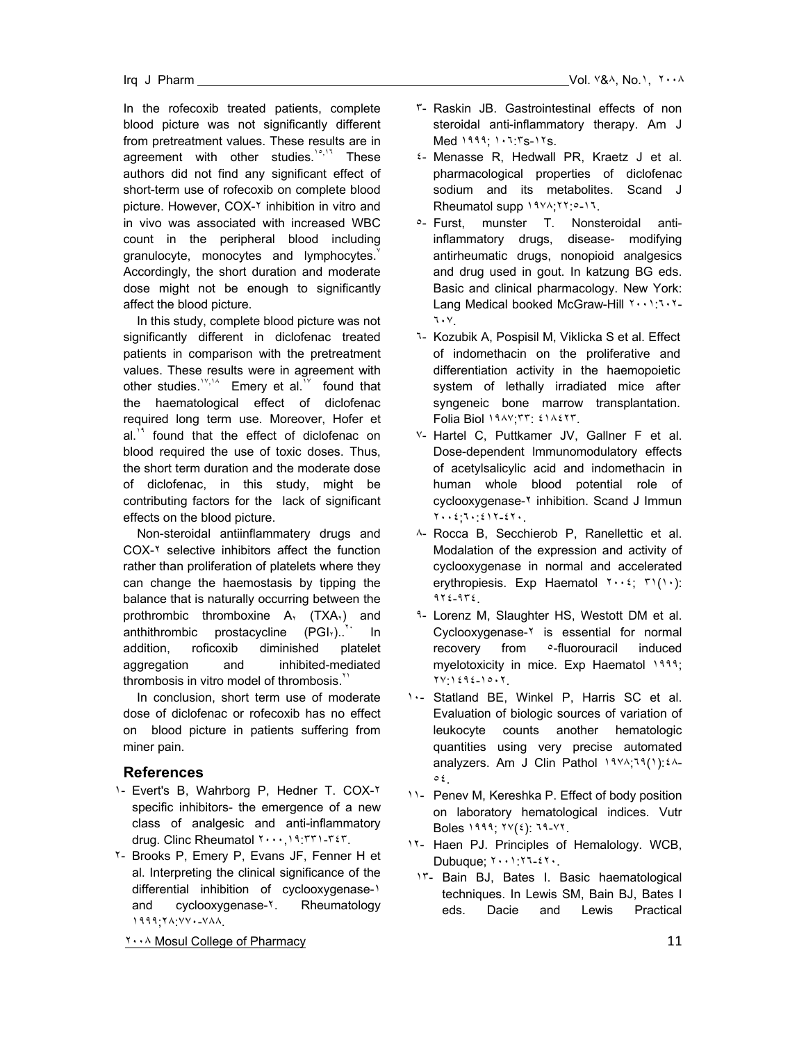In the rofecoxib treated patients, complete blood picture was not significantly different from pretreatment values. These results are in agreement with other studies. $10^{10}$ , These authors did not find any significant effect of short-term use of rofecoxib on complete blood picture. However, COX-Y inhibition in vitro and in vivo was associated with increased WBC count in the peripheral blood including granulocyte, monocytes and lymphocytes. $\check{y}$ Accordingly, the short duration and moderate dose might not be enough to significantly affect the blood picture.

 In this study, complete blood picture was not significantly different in diclofenac treated patients in comparison with the pretreatment values. These results were in agreement with other studies.<sup>17,14</sup> Emery et al.<sup>18</sup> found that the haematological effect of diclofenac required long term use. Moreover, Hofer et al.<sup>14</sup> found that the effect of diclofenac on blood required the use of toxic doses. Thus, the short term duration and the moderate dose of diclofenac, in this study, might be contributing factors for the lack of significant effects on the blood picture.

 Non-steroidal antiinflammatery drugs and COX-٢ selective inhibitors affect the function rather than proliferation of platelets where they can change the haemostasis by tipping the balance that is naturally occurring between the prothrombic thromboxine  $A_Y$  (TXA<sub>x</sub>) and anthithrombic prostacycline  $(PGI_x)$ .<sup>\*\*</sup> In addition, roficoxib diminished platelet aggregation and inhibited-mediated thrombosis in vitro model of thrombosis.<sup>7</sup>

 In conclusion, short term use of moderate dose of diclofenac or rofecoxib has no effect on blood picture in patients suffering from miner pain.

## **References**

- ١- Evert's B, Wahrborg P, Hedner T. COX-٢ specific inhibitors- the emergence of a new class of analgesic and anti-inflammatory drug. Clinc Rheumatol ٢٠٠٠,١٩:٣٣١-٣٤٣.
- ٢- Brooks P, Emery P, Evans JF, Fenner H et al. Interpreting the clinical significance of the differential inhibition of cyclooxygenase-1 and cyclooxygenase-<sup>x</sup>. Rheumatology ١٩٩٩;٢٨:٧٧٠-٧٨٨.

٢٠٠٨ Mosul College of Pharmacy 11

- ٣- Raskin JB. Gastrointestinal effects of non steroidal anti-inflammatory therapy. Am J Med ١٩٩٩; ١٠٦:٣s-١٢s.
- ٤- Menasse R, Hedwall PR, Kraetz J et al. pharmacological properties of diclofenac sodium and its metabolites. Scand J Rheumatol supp ١٩٧٨;٢٢:٥-١٦.
- ٥- Furst, munster T. Nonsteroidal antiinflammatory drugs, disease- modifying antirheumatic drugs, nonopioid analgesics and drug used in gout. In katzung BG eds. Basic and clinical pharmacology. New York: Lang Medical booked McGraw-Hill ٢٠٠١: ٦٠٢-٦٠٧.
- ٦- Kozubik A, Pospisil M, Viklicka S et al. Effect of indomethacin on the proliferative and differentiation activity in the haemopoietic system of lethally irradiated mice after syngeneic bone marrow transplantation. Folia Biol ١٩٨٧;٣٣: ٤١٨٤٢٣.
- ٧- Hartel C, Puttkamer JV, Gallner F et al. Dose-dependent lmmunomodulatory effects of acetylsalicylic acid and indomethacin in human whole blood potential role of cyclooxygenase-٢ inhibition. Scand J Immun ٢٠٠٤;٦٠:٤١٢-٤٢٠.
- ٨- Rocca B, Secchierob P, Ranellettic et al. Modalation of the expression and activity of cyclooxygenase in normal and accelerated erythropiesis. Exp Haematol ٢٠٠٤; ٣١(١٠): ٩٢٤-٩٣٤.
- ٩- Lorenz M, Slaughter HS, Westott DM et al. Cyclooxygenase-٢ is essential for normal recovery from ٥-fluorouracil induced myelotoxicity in mice. Exp Haematol 1999; ٢٧:١٤٩٤-١٥٠٢.
- ١٠- Statland BE, Winkel P, Harris SC et al. Evaluation of biologic sources of variation of leukocyte counts another hematologic quantities using very precise automated analyzers. Am J Clin Pathol ١٩٧٨;٦٩(١):٤٨- ٥٤.
- ١١- Penev M, Kereshka P. Effect of body position on laboratory hematological indices. Vutr Boles ١٩٩٩; ٢٧(٤): ٦٩-٧٢.
- ١٢- Haen PJ. Principles of Hemalology. WCB, Dubuque; ٢٠٠١:٢٦-٤٢٠.
- ١٣- Bain BJ, Bates I. Basic haematological techniques. In Lewis SM, Bain BJ, Bates I eds. Dacie and Lewis Practical